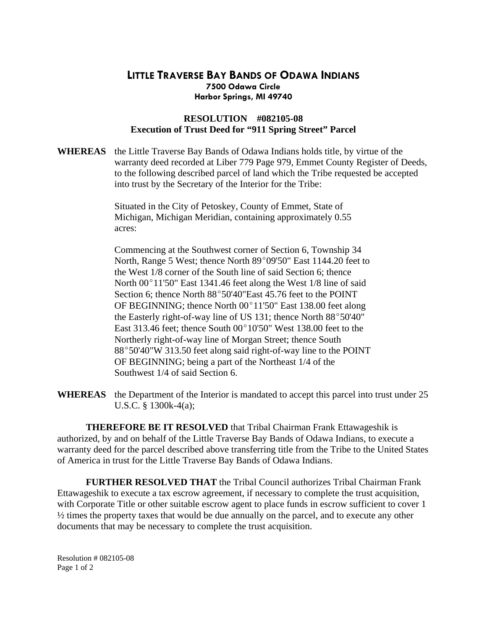## **LITTLE TRAVERSE BAY BANDS OF ODAWA INDIANS 7500 Odawa Circle Harbor Springs, MI 49740**

## **RESOLUTION #082105-08 Execution of Trust Deed for "911 Spring Street" Parcel**

**WHEREAS** the Little Traverse Bay Bands of Odawa Indians holds title, by virtue of the warranty deed recorded at Liber 779 Page 979, Emmet County Register of Deeds, to the following described parcel of land which the Tribe requested be accepted into trust by the Secretary of the Interior for the Tribe:

> Situated in the City of Petoskey, County of Emmet, State of Michigan, Michigan Meridian, containing approximately 0.55 acres:

Commencing at the Southwest corner of Section 6, Township 34 North, Range 5 West; thence North  $89^{\circ}09'50''$  East 1144.20 feet to the West 1/8 corner of the South line of said Section 6; thence North  $00^{\circ}11'50''$  East 1341.46 feet along the West 1/8 line of said Section 6; thence North 88°50'40"East 45.76 feet to the POINT OF BEGINNING; thence North  $00^{\circ}11'50''$  East 138.00 feet along the Easterly right-of-way line of US 131; thence North  $88^{\circ}50'40''$ East 313.46 feet; thence South  $00^{\circ}10'50''$  West 138.00 feet to the Northerly right-of-way line of Morgan Street; thence South 88°50'40"W 313.50 feet along said right-of-way line to the POINT OF BEGINNING; being a part of the Northeast 1/4 of the Southwest 1/4 of said Section 6.

**WHEREAS** the Department of the Interior is mandated to accept this parcel into trust under 25 U.S.C. § 1300k-4(a);

 **THEREFORE BE IT RESOLVED** that Tribal Chairman Frank Ettawageshik is authorized, by and on behalf of the Little Traverse Bay Bands of Odawa Indians, to execute a warranty deed for the parcel described above transferring title from the Tribe to the United States of America in trust for the Little Traverse Bay Bands of Odawa Indians.

**FURTHER RESOLVED THAT** the Tribal Council authorizes Tribal Chairman Frank Ettawageshik to execute a tax escrow agreement, if necessary to complete the trust acquisition, with Corporate Title or other suitable escrow agent to place funds in escrow sufficient to cover 1 ½ times the property taxes that would be due annually on the parcel, and to execute any other documents that may be necessary to complete the trust acquisition.

Resolution # 082105-08 Page 1 of 2